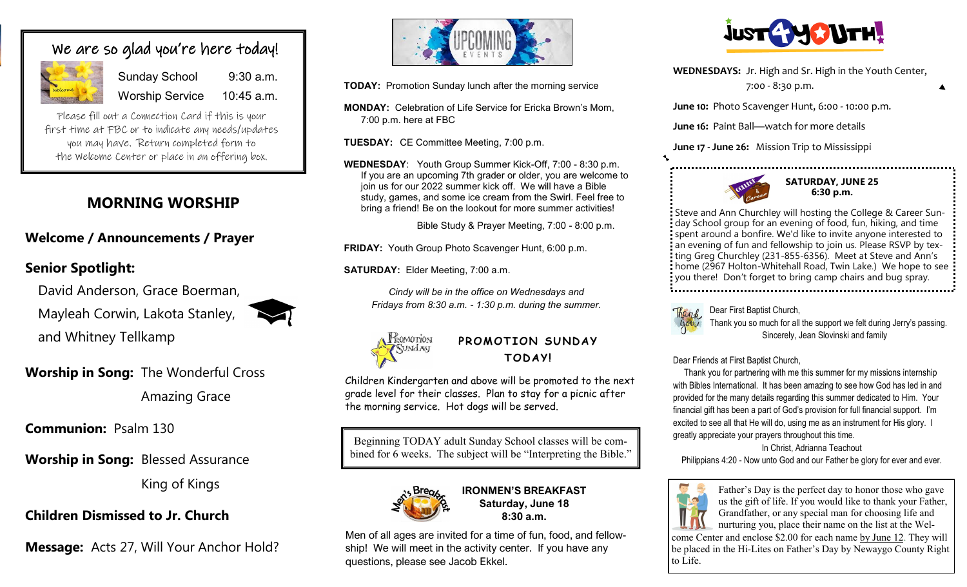# We are so glad you're here today!

|         | S <sub>1</sub> |
|---------|----------------|
| Welcome | W              |

Sunday School 9:30 a.m. Worship Service 10:45 a.m.

Please fill out a Connection Card if this is your first time at FBC or to indicate any needs/updates you may have. Return completed form to the Welcome Center or place in an offering box.

# **MORNING WORSHIP**

## **Welcome / Announcements / Prayer**

## **Senior Spotlight:**

David Anderson, Grace Boerman, Mayleah Corwin, Lakota Stanley, and Whitney Tellkamp



**Worship in Song:** The Wonderful Cross

Amazing Grace

**Communion:** Psalm 130

**Worship in Song:** Blessed Assurance

King of Kings

**Children Dismissed to Jr. Church** 

**Message:** Acts 27, Will Your Anchor Hold?



**TODAY:** Promotion Sunday lunch after the morning service

**MONDAY:** Celebration of Life Service for Ericka Brown's Mom, 7:00 p.m. here at FBC

**TUESDAY:** CE Committee Meeting, 7:00 p.m.

**WEDNESDAY**: Youth Group Summer Kick-Off, 7:00 - 8:30 p.m. If you are an upcoming 7th grader or older, you are welcome to join us for our 2022 summer kick off. We will have a Bible study, games, and some ice cream from the Swirl. Feel free to bring a friend! Be on the lookout for more summer activities!

Bible Study & Prayer Meeting, 7:00 - 8:00 p.m.

**FRIDAY:** Youth Group Photo Scavenger Hunt, 6:00 p.m.

**SATURDAY:** Elder Meeting, 7:00 a.m.

*Cindy will be in the office on Wednesdays and Fridays from 8:30 a.m. - 1:30 p.m. during the summer.*



PROMOTION SUNDAY **TOD AY!**

Children Kindergarten and above will be promoted to the next grade level for their classes. Plan to stay for a picnic after the morning service. Hot dogs will be served.

Beginning TODAY adult Sunday School classes will be combined for 6 weeks. The subject will be "Interpreting the Bible."



**IRONMEN'S BREAKFAST Saturday, June 18 8:30 a.m.**

Men of all ages are invited for a time of fun, food, and fellowship! We will meet in the activity center. If you have any questions, please see Jacob Ekkel.



**WEDNESDAYS:** Jr. High and Sr. High in the Youth Center,

7:00 - 8:30 p.m.

**June 10:** Photo Scavenger Hunt, 6:00 - 10:00 p.m.

**June 16:** Paint Ball—watch for more details

**June 17 - June 26:** Mission Trip to Mississippi



**SATURDAY, JUNE 25 6:30 p.m.**

Steve and Ann Churchley will hosting the College & Career Sunday School group for an evening of food, fun, hiking, and time spent around a bonfire. We'd like to invite anyone interested to an evening of fun and fellowship to join us. Please RSVP by texting Greg Churchley (231-855-6356). Meet at Steve and Ann's home (2967 Holton-Whitehall Road, Twin Lake.) We hope to see you there! Don't forget to bring camp chairs and bug spray. 



Than L. Dear First Baptist Church,

 Thank you so much for all the support we felt during Jerry's passing. Sincerely, Jean Slovinski and family

Dear Friends at First Baptist Church,

 Thank you for partnering with me this summer for my missions internship with Bibles International. It has been amazing to see how God has led in and provided for the many details regarding this summer dedicated to Him. Your financial gift has been a part of God's provision for full financial support. I'm excited to see all that He will do, using me as an instrument for His glory. I greatly appreciate your prayers throughout this time.

#### In Christ, Adrianna Teachout

Philippians 4:20 - Now unto God and our Father be glory for ever and ever.



Father's Day is the perfect day to honor those who gave us the gift of life. If you would like to thank your Father, Grandfather, or any special man for choosing life and nurturing you, place their name on the list at the Wel-

come Center and enclose \$2.00 for each name by June 12. They will be placed in the Hi-Lites on Father's Day by Newaygo County Right to Life.